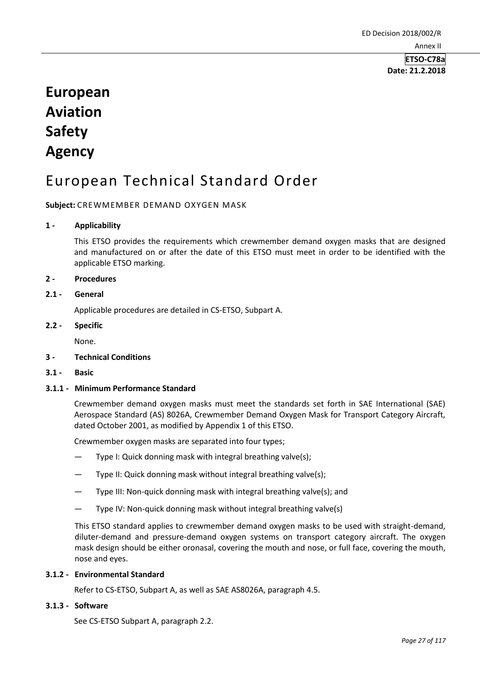**Date: 21.2.2018**

# **European Aviation Safety Agency**

# European Technical Standard Order

#### **Subject:** CREWMEMBER DEMAND OXYGEN MASK

#### **1 - Applicability**

This ETSO provides the requirements which crewmember demand oxygen masks that are designed and manufactured on or after the date of this ETSO must meet in order to be identified with the applicable ETSO marking.

#### **2 - Procedures**

#### **2.1 - General**

Applicable procedures are detailed in CS-ETSO, Subpart A.

#### **2.2 - Specific**

None.

#### **3 - Technical Conditions**

**3.1 - Basic** 

#### **3.1.1 - Minimum Performance Standard**

Crewmember demand oxygen masks must meet the standards set forth in SAE International (SAE) Aerospace Standard (AS) 8026A, Crewmember Demand Oxygen Mask for Transport Category Aircraft, dated October 2001, as modified by Appendix 1 of this ETSO.

Crewmember oxygen masks are separated into four types;

- Type I: Quick donning mask with integral breathing valve(s);
- Type II: Quick donning mask without integral breathing valve(s);
- Type III: Non-quick donning mask with integral breathing valve(s); and
- Type IV: Non-quick donning mask without integral breathing valve(s)

This ETSO standard applies to crewmember demand oxygen masks to be used with straight-demand, diluter-demand and pressure-demand oxygen systems on transport category aircraft. The oxygen mask design should be either oronasal, covering the mouth and nose, or full face, covering the mouth, nose and eyes.

#### **3.1.2 - Environmental Standard**

Refer to CS-ETSO, Subpart A, as well as SAE AS8026A, paragraph 4.5.

#### **3.1.3 - Software**

See CS-ETSO Subpart A, paragraph 2.2.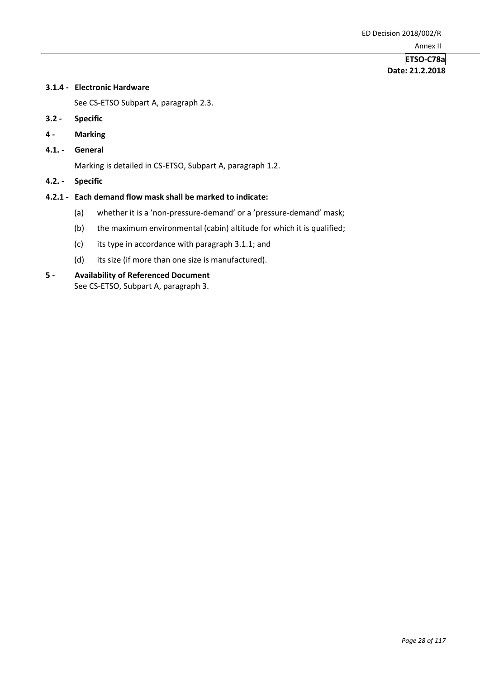## **ETSO-C78a Date: 21.2.2018**

### **3.1.4 - Electronic Hardware**

See CS-ETSO Subpart A, paragraph 2.3.

- **3.2 - Specific**
- **4 - Marking**
- **4.1. - General**

Marking is detailed in CS-ETSO, Subpart A, paragraph 1.2.

**4.2. - Specific** 

#### **4.2.1 - Each demand flow mask shall be marked to indicate:**

- (a) whether it is a 'non-pressure-demand' or a 'pressure-demand' mask;
- (b) the maximum environmental (cabin) altitude for which it is qualified;
- (c) its type in accordance with paragraph 3.1.1; and
- (d) its size (if more than one size is manufactured).

### **5 - Availability of Referenced Document**  See CS-ETSO, Subpart A, paragraph 3.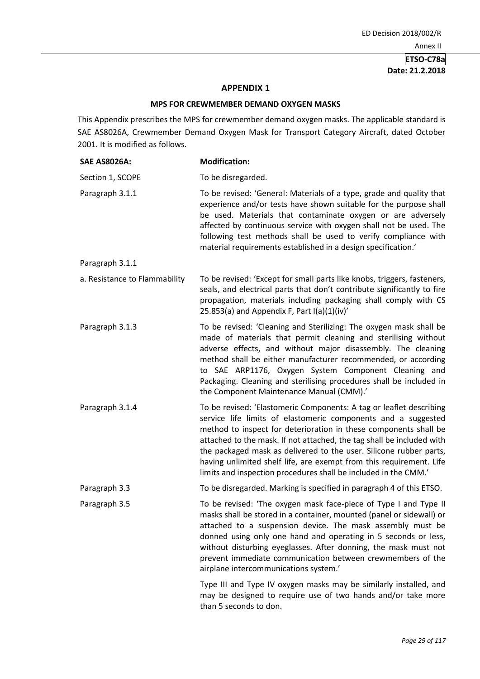# **Date: 21.2.2018**

#### **APPENDIX 1**

#### **MPS FOR CREWMEMBER DEMAND OXYGEN MASKS**

This Appendix prescribes the MPS for crewmember demand oxygen masks. The applicable standard is SAE AS8026A, Crewmember Demand Oxygen Mask for Transport Category Aircraft, dated October 2001. It is modified as follows.

| <b>SAE AS8026A:</b>           | <b>Modification:</b>                                                                                                                                                                                                                                                                                                                                                                                                                                                                              |
|-------------------------------|---------------------------------------------------------------------------------------------------------------------------------------------------------------------------------------------------------------------------------------------------------------------------------------------------------------------------------------------------------------------------------------------------------------------------------------------------------------------------------------------------|
| Section 1, SCOPE              | To be disregarded.                                                                                                                                                                                                                                                                                                                                                                                                                                                                                |
| Paragraph 3.1.1               | To be revised: 'General: Materials of a type, grade and quality that<br>experience and/or tests have shown suitable for the purpose shall<br>be used. Materials that contaminate oxygen or are adversely<br>affected by continuous service with oxygen shall not be used. The<br>following test methods shall be used to verify compliance with<br>material requirements established in a design specification.'                                                                                  |
| Paragraph 3.1.1               |                                                                                                                                                                                                                                                                                                                                                                                                                                                                                                   |
| a. Resistance to Flammability | To be revised: 'Except for small parts like knobs, triggers, fasteners,<br>seals, and electrical parts that don't contribute significantly to fire<br>propagation, materials including packaging shall comply with CS<br>25.853(a) and Appendix F, Part I(a)(1)(iv)'                                                                                                                                                                                                                              |
| Paragraph 3.1.3               | To be revised: 'Cleaning and Sterilizing: The oxygen mask shall be<br>made of materials that permit cleaning and sterilising without<br>adverse effects, and without major disassembly. The cleaning<br>method shall be either manufacturer recommended, or according<br>to SAE ARP1176, Oxygen System Component Cleaning and<br>Packaging. Cleaning and sterilising procedures shall be included in<br>the Component Maintenance Manual (CMM).'                                                  |
| Paragraph 3.1.4               | To be revised: 'Elastomeric Components: A tag or leaflet describing<br>service life limits of elastomeric components and a suggested<br>method to inspect for deterioration in these components shall be<br>attached to the mask. If not attached, the tag shall be included with<br>the packaged mask as delivered to the user. Silicone rubber parts,<br>having unlimited shelf life, are exempt from this requirement. Life<br>limits and inspection procedures shall be included in the CMM.' |
| Paragraph 3.3                 | To be disregarded. Marking is specified in paragraph 4 of this ETSO.                                                                                                                                                                                                                                                                                                                                                                                                                              |
| Paragraph 3.5                 | To be revised: 'The oxygen mask face-piece of Type I and Type II<br>masks shall be stored in a container, mounted (panel or sidewall) or<br>attached to a suspension device. The mask assembly must be<br>donned using only one hand and operating in 5 seconds or less,<br>without disturbing eyeglasses. After donning, the mask must not<br>prevent immediate communication between crewmembers of the<br>airplane intercommunications system.'                                                |
|                               | Type III and Type IV oxygen masks may be similarly installed, and<br>may be designed to require use of two hands and/or take more<br>than 5 seconds to don.                                                                                                                                                                                                                                                                                                                                       |